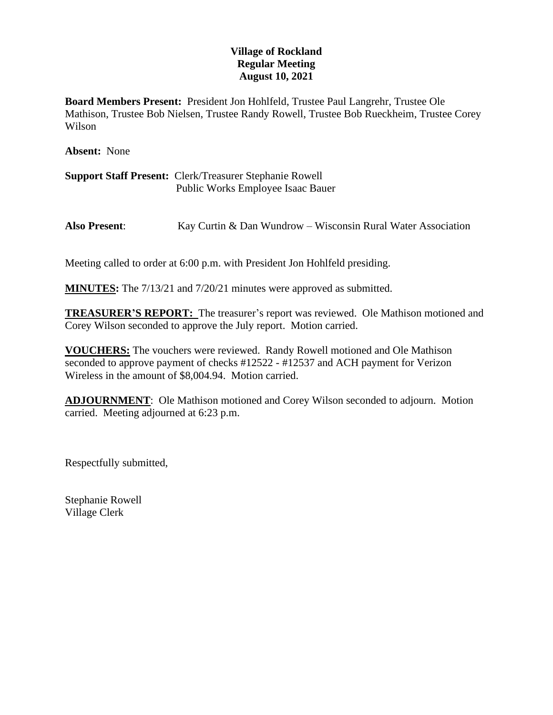## **Village of Rockland Regular Meeting August 10, 2021**

**Board Members Present:** President Jon Hohlfeld, Trustee Paul Langrehr, Trustee Ole Mathison, Trustee Bob Nielsen, Trustee Randy Rowell, Trustee Bob Rueckheim, Trustee Corey Wilson

**Absent:** None

**Support Staff Present:** Clerk/Treasurer Stephanie Rowell Public Works Employee Isaac Bauer

**Also Present**: Kay Curtin & Dan Wundrow – Wisconsin Rural Water Association

Meeting called to order at 6:00 p.m. with President Jon Hohlfeld presiding.

**MINUTES:** The 7/13/21 and 7/20/21 minutes were approved as submitted.

**TREASURER'S REPORT:** The treasurer's report was reviewed. Ole Mathison motioned and Corey Wilson seconded to approve the July report. Motion carried.

**VOUCHERS:** The vouchers were reviewed. Randy Rowell motioned and Ole Mathison seconded to approve payment of checks #12522 - #12537 and ACH payment for Verizon Wireless in the amount of \$8,004.94. Motion carried.

**ADJOURNMENT**: Ole Mathison motioned and Corey Wilson seconded to adjourn. Motion carried. Meeting adjourned at 6:23 p.m.

Respectfully submitted,

Stephanie Rowell Village Clerk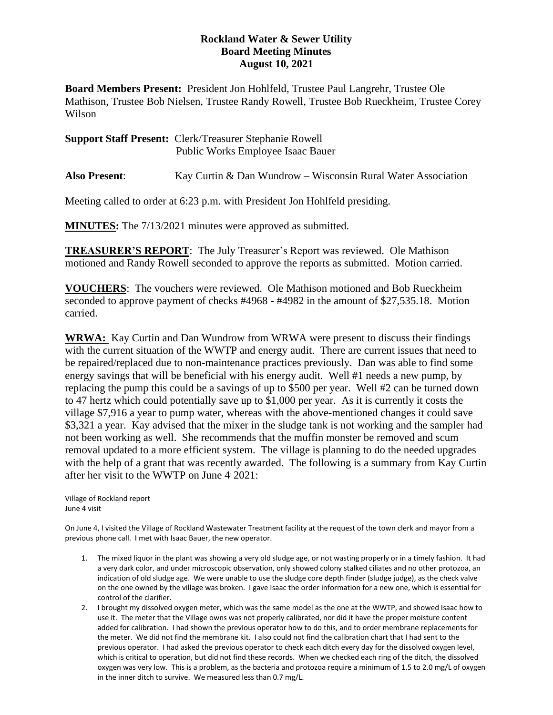## **Rockland Water & Sewer Utility Board Meeting Minutes August 10, 2021**

**Board Members Present:** President Jon Hohlfeld, Trustee Paul Langrehr, Trustee Ole Mathison, Trustee Bob Nielsen, Trustee Randy Rowell, Trustee Bob Rueckheim, Trustee Corey Wilson

| <b>Support Staff Present: Clerk/Treasurer Stephanie Rowell</b> |
|----------------------------------------------------------------|
| <b>Public Works Employee Isaac Bauer</b>                       |

**Also Present**: Kay Curtin & Dan Wundrow – Wisconsin Rural Water Association

Meeting called to order at 6:23 p.m. with President Jon Hohlfeld presiding.

**MINUTES:** The 7/13/2021 minutes were approved as submitted.

**TREASURER'S REPORT**: The July Treasurer's Report was reviewed. Ole Mathison motioned and Randy Rowell seconded to approve the reports as submitted. Motion carried.

**VOUCHERS**: The vouchers were reviewed. Ole Mathison motioned and Bob Rueckheim seconded to approve payment of checks #4968 - #4982 in the amount of \$27,535.18. Motion carried.

**WRWA:** Kay Curtin and Dan Wundrow from WRWA were present to discuss their findings with the current situation of the WWTP and energy audit. There are current issues that need to be repaired/replaced due to non-maintenance practices previously. Dan was able to find some energy savings that will be beneficial with his energy audit. Well #1 needs a new pump, by replacing the pump this could be a savings of up to \$500 per year. Well #2 can be turned down to 47 hertz which could potentially save up to \$1,000 per year. As it is currently it costs the village \$7,916 a year to pump water, whereas with the above-mentioned changes it could save \$3,321 a year. Kay advised that the mixer in the sludge tank is not working and the sampler had not been working as well. She recommends that the muffin monster be removed and scum removal updated to a more efficient system. The village is planning to do the needed upgrades with the help of a grant that was recently awarded. The following is a summary from Kay Curtin after her visit to the WWTP on June 4, 2021:

Village of Rockland report June 4 visit

On June 4, I visited the Village of Rockland Wastewater Treatment facility at the request of the town clerk and mayor from a previous phone call. I met with Isaac Bauer, the new operator.

- 1. The mixed liquor in the plant was showing a very old sludge age, or not wasting properly or in a timely fashion. It had a very dark color, and under microscopic observation, only showed colony stalked ciliates and no other protozoa, an indication of old sludge age. We were unable to use the sludge core depth finder (sludge judge), as the check valve on the one owned by the village was broken. I gave Isaac the order information for a new one, which is essential for control of the clarifier.
- 2. I brought my dissolved oxygen meter, which was the same model as the one at the WWTP, and showed Isaac how to use it. The meter that the Village owns was not properly calibrated, nor did it have the proper moisture content added for calibration. I had shown the previous operator how to do this, and to order membrane replacements for the meter. We did not find the membrane kit. I also could not find the calibration chart that I had sent to the previous operator. I had asked the previous operator to check each ditch every day for the dissolved oxygen level, which is critical to operation, but did not find these records. When we checked each ring of the ditch, the dissolved oxygen was very low. This is a problem, as the bacteria and protozoa require a minimum of 1.5 to 2.0 mg/L of oxygen in the inner ditch to survive. We measured less than 0.7 mg/L.